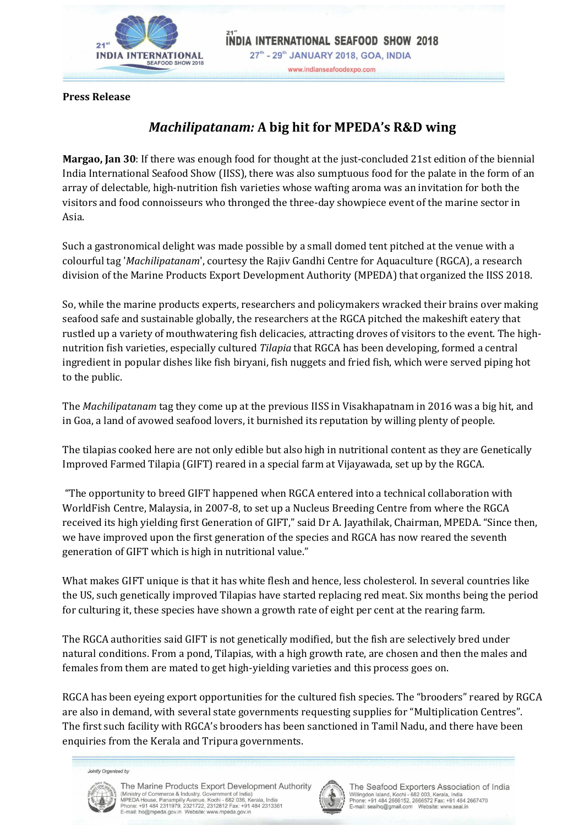

**Press Release**

## *Machilipatanam:* **A big hit for MPEDA's R&D wing**

**Margao, Jan 30**: If there was enough food for thought at the just-concluded 21st edition of the biennial India International Seafood Show (IISS), there was also sumptuous food for the palate in the form of an array of delectable, high-nutrition fish varieties whose wafting aroma was an invitation for both the visitors and food connoisseurs who thronged the three-day showpiece event of the marine sector in Asia.

Such a gastronomical delight was made possible by a small domed tent pitched at the venue with a colourful tag '*Machilipatanam*', courtesy the Rajiv Gandhi Centre for Aquaculture (RGCA), a research division of the Marine Products Export Development Authority (MPEDA) that organized the IISS 2018.

So, while the marine products experts, researchers and policymakers wracked their brains over making seafood safe and sustainable globally, the researchers at the RGCA pitched the makeshift eatery that rustled up a variety of mouthwatering fish delicacies, attracting droves of visitors to the event. The highnutrition fish varieties, especially cultured *Tilapia* that RGCA has been developing, formed a central ingredient in popular dishes like fish biryani, fish nuggets and fried fish, which were served piping hot to the public.

The *Machilipatanam* tag they come up at the previous IISS in Visakhapatnam in 2016 was a big hit, and in Goa, a land of avowed seafood lovers, it burnished its reputation by willing plenty of people.

The tilapias cooked here are not only edible but also high in nutritional content as they are Genetically Improved Farmed Tilapia (GIFT) reared in a special farm at Vijayawada, set up by the RGCA.

"The opportunity to breed GIFT happened when RGCA entered into a technical collaboration with WorldFish Centre, Malaysia, in 2007-8, to set up a Nucleus Breeding Centre from where the RGCA received its high yielding first Generation of GIFT," said Dr A. Jayathilak, Chairman, MPEDA. "Since then, we have improved upon the first generation of the species and RGCA has now reared the seventh generation of GIFT which is high in nutritional value."

What makes GIFT unique is that it has white flesh and hence, less cholesterol. In several countries like the US, such genetically improved Tilapias have started replacing red meat. Six months being the period for culturing it, these species have shown a growth rate of eight per cent at the rearing farm.

The RGCA authorities said GIFT is not genetically modified, but the fish are selectively bred under natural conditions. From a pond, Tilapias, with a high growth rate, are chosen and then the males and females from them are mated to get high-yielding varieties and this process goes on.

RGCA has been eyeing export opportunities for the cultured fish species. The "brooders" reared by RGCA are also in demand, with several state governments requesting supplies for "Multiplication Centres". The first such facility with RGCA's brooders has been sanctioned in Tamil Nadu, and there have been enquiries from the Kerala and Tripura governments.

Jointly Organized by



The Marine Products Export Development Authority (Ministry of Commerce & Industry, Government of India)<br>MPEDA House, Panampilly Avenue, Kochi - 682 036, Kerala, India<br>Phone: +91 484 2311979, 2321722, 2312812 Fax: +91 484 2313361<br>E-mail: ho@mpeda.gov.in Website: www.mpeda



The Seafood Exporters Association of India Willingdon Island, Kochi - 682 003, Kerala, India<br>Phone: +91 484 2666152, 2666572 Fax: +91 484 2667470 Website: ng@gmail.com